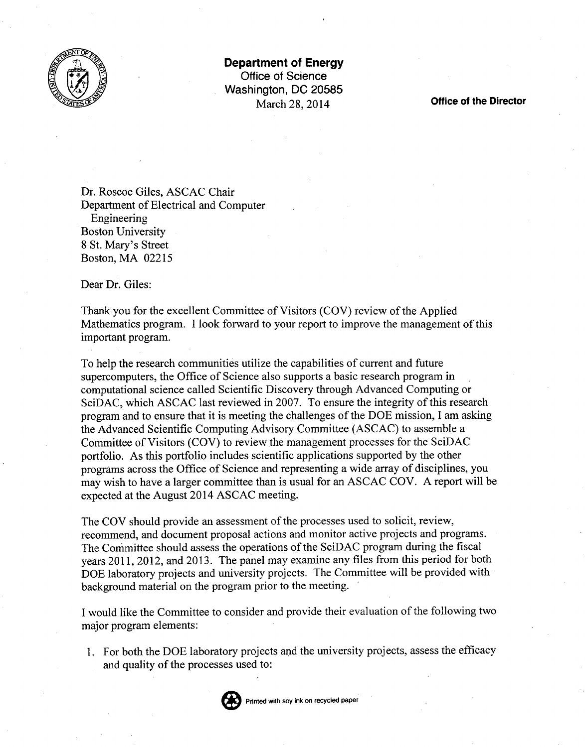

**Department of Energy Office of Science Washington, DC 20585** March 28,2014 **Office of the Director**

Dr. Roscoe Giles, ASCAC Chair Department of Electrical and Computer Engineering Boston University 8 St. Mary's Street Boston, MA 02215

Dear Dr. Giles:

Thank you for the excellent Committee of Visitors (COV) review of the Applied Mathematics program. I look forward to your report to improve the management of this important program.

To help the research communities utilize the capabilities of current and future supercomputers, the Office of Science also supports a basic research program in computational science called Scientific Discovery through Advanced Computing or SciDAC, which ASCAC last reviewed in 2007. To ensure the integrity of this research program and to ensure that it is meeting the challenges of the DOE mission, I am asking the Advanced Scientific Computing Advisory Committee (ASCAC) to assemble a Committee of Visitors (COV) to review the management processes for the SciDAC portfolio. As this portfolio includes scientific applications supported by the other programs across the Office of Science and representing a wide array of disciplines, you may wish to have a larger committee than is usual for an ASCAC COV. A report will be expected at the August 2014 ASCAC meeting.

The COY should provide an assessment of the processes used to solicit, review, recommend, and document proposal actions and monitor active projects and programs. The Committee should assess the operations of the SciDAC program during the fiscal years **2011,** 2012, and 2013. The panel may examine any files from this period for both DOE laboratory projects and university projects. The Committee will be provided with background material on the program prior to the meeting. '

I would like the Committee to consider and provide their evaluation of the following two major program elements:

1. For both the DOE laboratory projects and the university projects, assess the efficacy and quality of the processes used to: